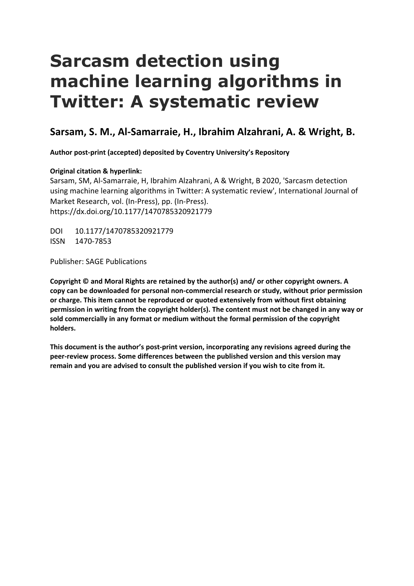# **Sarcasm detection using machine learning algorithms in Twitter: A systematic review**

# **Sarsam, S. M., Al-Samarraie, H., Ibrahim Alzahrani, A. & Wright, B.**

**Author post-print (accepted) deposited by Coventry University's Repository**

# **Original citation & hyperlink:**

Sarsam, SM, Al-Samarraie, H, Ibrahim Alzahrani, A & Wright, B 2020, 'Sarcasm detection using machine learning algorithms in Twitter: A systematic review', International Journal of Market Research, vol. (In-Press), pp. (In-Press). https://dx.doi.org/10.1177/1470785320921779

DOI 10.1177/1470785320921779 ISSN 1470-7853

Publisher: SAGE Publications

**Copyright © and Moral Rights are retained by the author(s) and/ or other copyright owners. A copy can be downloaded for personal non-commercial research or study, without prior permission or charge. This item cannot be reproduced or quoted extensively from without first obtaining permission in writing from the copyright holder(s). The content must not be changed in any way or sold commercially in any format or medium without the formal permission of the copyright holders.** 

 **peer-review process. Some differences between the published version and this version may This document is the author's post-print version, incorporating any revisions agreed during the remain and you are advised to consult the published version if you wish to cite from it.**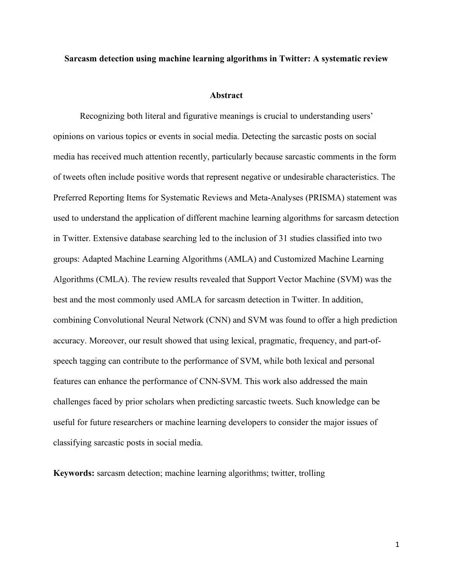#### **Sarcasm detection using machine learning algorithms in Twitter: A systematic review**

#### **Abstract**

 Recognizing both literal and figurative meanings is crucial to understanding users' opinions on various topics or events in social media. Detecting the sarcastic posts on social media has received much attention recently, particularly because sarcastic comments in the form of tweets often include positive words that represent negative or undesirable characteristics. The Preferred Reporting Items for Systematic Reviews and Meta-Analyses (PRISMA) statement was used to understand the application of different machine learning algorithms for sarcasm detection in Twitter. Extensive database searching led to the inclusion of 31 studies classified into two groups: Adapted Machine Learning Algorithms (AMLA) and Customized Machine Learning Algorithms (CMLA). The review results revealed that Support Vector Machine (SVM) was the best and the most commonly used AMLA for sarcasm detection in Twitter. In addition, combining Convolutional Neural Network (CNN) and SVM was found to offer a high prediction accuracy. Moreover, our result showed that using lexical, pragmatic, frequency, and part-of- speech tagging can contribute to the performance of SVM, while both lexical and personal features can enhance the performance of CNN-SVM. This work also addressed the main challenges faced by prior scholars when predicting sarcastic tweets. Such knowledge can be useful for future researchers or machine learning developers to consider the major issues of classifying sarcastic posts in social media.

**Keywords:** sarcasm detection; machine learning algorithms; twitter, trolling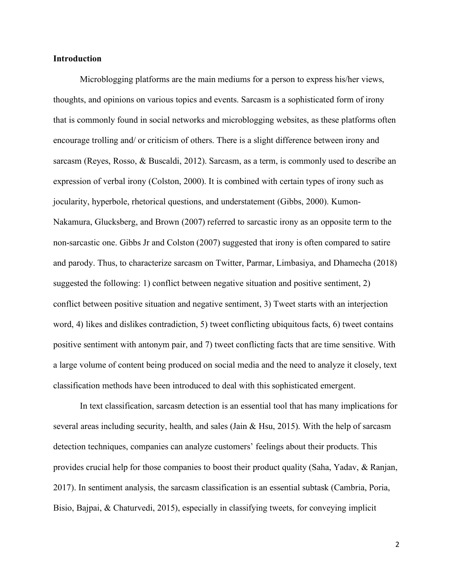#### **Introduction**

 Microblogging platforms are the main mediums for a person to express his/her views, thoughts, and opinions on various topics and events. Sarcasm is a sophisticated form of irony that is commonly found in social networks and microblogging websites, as these platforms often encourage trolling and/ or criticism of others. There is a slight difference between irony and sarcasm (Reyes, Rosso, & Buscaldi, 2012). Sarcasm, as a term, is commonly used to describe an expression of verbal irony (Colston, 2000). It is combined with certain types of irony such as jocularity, hyperbole, rhetorical questions, and understatement (Gibbs, 2000). Kumon- Nakamura, Glucksberg, and Brown (2007) referred to sarcastic irony as an opposite term to the non-sarcastic one. Gibbs Jr and Colston (2007) suggested that irony is often compared to satire and parody. Thus, to characterize sarcasm on Twitter, Parmar, Limbasiya, and Dhamecha (2018) suggested the following: 1) conflict between negative situation and positive sentiment, 2) conflict between positive situation and negative sentiment, 3) Tweet starts with an interjection word, 4) likes and dislikes contradiction, 5) tweet conflicting ubiquitous facts, 6) tweet contains positive sentiment with antonym pair, and 7) tweet conflicting facts that are time sensitive. With a large volume of content being produced on social media and the need to analyze it closely, text classification methods have been introduced to deal with this sophisticated emergent.

 In text classification, sarcasm detection is an essential tool that has many implications for several areas including security, health, and sales (Jain & Hsu, 2015). With the help of sarcasm detection techniques, companies can analyze customers' feelings about their products. This provides crucial help for those companies to boost their product quality (Saha, Yadav, & Ranjan, 2017). In sentiment analysis, the sarcasm classification is an essential subtask (Cambria, Poria, Bisio, Bajpai, & Chaturvedi, 2015), especially in classifying tweets, for conveying implicit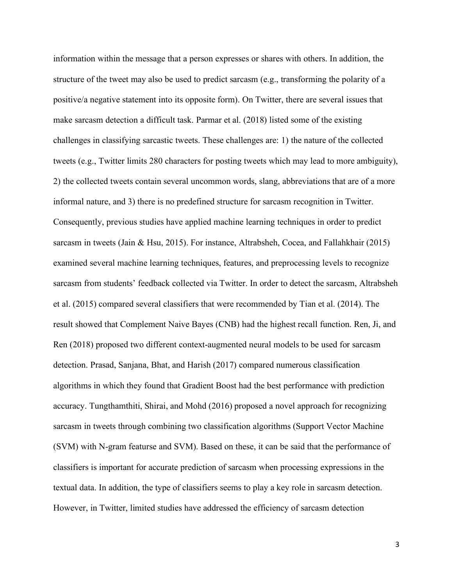information within the message that a person expresses or shares with others. In addition, the structure of the tweet may also be used to predict sarcasm (e.g., transforming the polarity of a positive/a negative statement into its opposite form). On Twitter, there are several issues that make sarcasm detection a difficult task. Parmar et al. (2018) listed some of the existing challenges in classifying sarcastic tweets. These challenges are: 1) the nature of the collected tweets (e.g., Twitter limits 280 characters for posting tweets which may lead to more ambiguity), 2) the collected tweets contain several uncommon words, slang, abbreviations that are of a more informal nature, and 3) there is no predefined structure for sarcasm recognition in Twitter. Consequently, previous studies have applied machine learning techniques in order to predict sarcasm in tweets (Jain & Hsu, 2015). For instance, Altrabsheh, Cocea, and Fallahkhair (2015) examined several machine learning techniques, features, and preprocessing levels to recognize sarcasm from students' feedback collected via Twitter. In order to detect the sarcasm, Altrabsheh et al. (2015) compared several classifiers that were recommended by Tian et al. (2014). The result showed that Complement Naive Bayes (CNB) had the highest recall function. Ren, Ji, and Ren (2018) proposed two different context-augmented neural models to be used for sarcasm detection. Prasad, Sanjana, Bhat, and Harish (2017) compared numerous classification algorithms in which they found that Gradient Boost had the best performance with prediction accuracy. Tungthamthiti, Shirai, and Mohd (2016) proposed a novel approach for recognizing sarcasm in tweets through combining two classification algorithms (Support Vector Machine (SVM) with N-gram featurse and SVM). Based on these, it can be said that the performance of classifiers is important for accurate prediction of sarcasm when processing expressions in the textual data. In addition, the type of classifiers seems to play a key role in sarcasm detection. However, in Twitter, limited studies have addressed the efficiency of sarcasm detection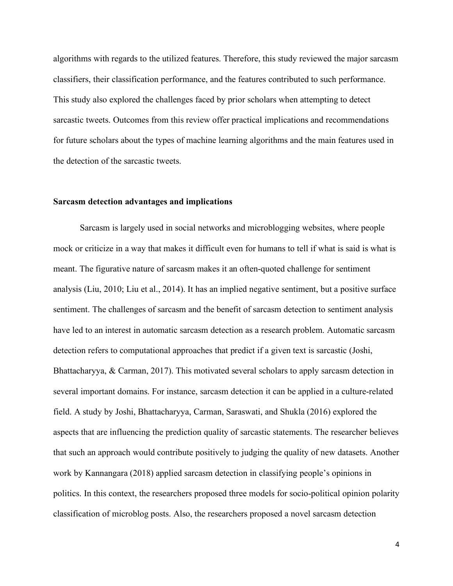algorithms with regards to the utilized features. Therefore, this study reviewed the major sarcasm classifiers, their classification performance, and the features contributed to such performance. This study also explored the challenges faced by prior scholars when attempting to detect sarcastic tweets. Outcomes from this review offer practical implications and recommendations for future scholars about the types of machine learning algorithms and the main features used in the detection of the sarcastic tweets.

#### **Sarcasm detection advantages and implications**

 Sarcasm is largely used in social networks and microblogging websites, where people mock or criticize in a way that makes it difficult even for humans to tell if what is said is what is meant. The figurative nature of sarcasm makes it an often-quoted challenge for sentiment analysis (Liu, 2010; Liu et al., 2014). It has an implied negative sentiment, but a positive surface sentiment. The challenges of sarcasm and the benefit of sarcasm detection to sentiment analysis have led to an interest in automatic sarcasm detection as a research problem. Automatic sarcasm detection refers to computational approaches that predict if a given text is sarcastic (Joshi, Bhattacharyya, & Carman, 2017). This motivated several scholars to apply sarcasm detection in several important domains. For instance, sarcasm detection it can be applied in a culture-related field. A study by Joshi, Bhattacharyya, Carman, Saraswati, and Shukla (2016) explored the aspects that are influencing the prediction quality of sarcastic statements. The researcher believes that such an approach would contribute positively to judging the quality of new datasets. Another work by Kannangara (2018) applied sarcasm detection in classifying people's opinions in politics. In this context, the researchers proposed three models for socio-political opinion polarity classification of microblog posts. Also, the researchers proposed a novel sarcasm detection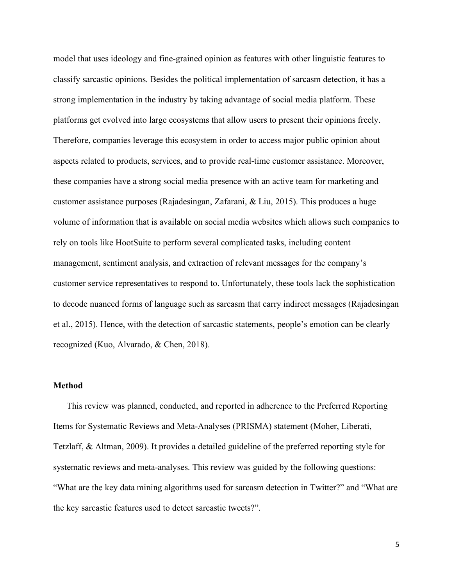model that uses ideology and fine-grained opinion as features with other linguistic features to classify sarcastic opinions. Besides the political implementation of sarcasm detection, it has a strong implementation in the industry by taking advantage of social media platform. These platforms get evolved into large ecosystems that allow users to present their opinions freely. Therefore, companies leverage this ecosystem in order to access major public opinion about aspects related to products, services, and to provide real-time customer assistance. Moreover, these companies have a strong social media presence with an active team for marketing and customer assistance purposes (Rajadesingan, Zafarani, & Liu, 2015). This produces a huge volume of information that is available on social media websites which allows such companies to rely on tools like HootSuite to perform several complicated tasks, including content management, sentiment analysis, and extraction of relevant messages for the company's customer service representatives to respond to. Unfortunately, these tools lack the sophistication to decode nuanced forms of language such as sarcasm that carry indirect messages (Rajadesingan et al., 2015). Hence, with the detection of sarcastic statements, people's emotion can be clearly recognized (Kuo, Alvarado, & Chen, 2018).

# **Method**

 This review was planned, conducted, and reported in adherence to the Preferred Reporting Items for Systematic Reviews and Meta-Analyses (PRISMA) statement (Moher, Liberati, Tetzlaff, & Altman, 2009). It provides a detailed guideline of the preferred reporting style for systematic reviews and meta-analyses. This review was guided by the following questions: "What are the key data mining algorithms used for sarcasm detection in Twitter?" and "What are the key sarcastic features used to detect sarcastic tweets?".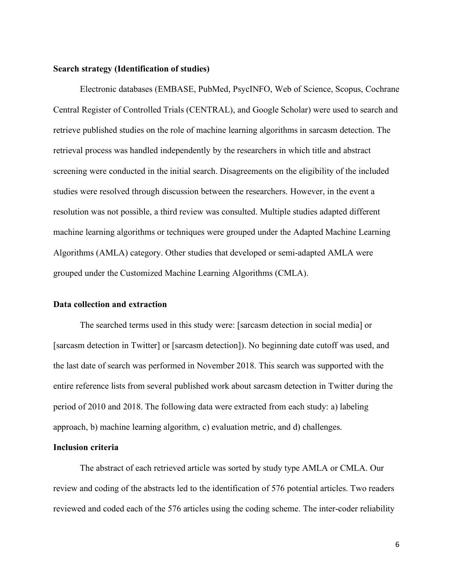#### **Search strategy (Identification of studies)**

 Electronic databases (EMBASE, PubMed, PsycINFO, Web of Science, Scopus, Cochrane Central Register of Controlled Trials (CENTRAL), and Google Scholar) were used to search and retrieve published studies on the role of machine learning algorithms in sarcasm detection. The retrieval process was handled independently by the researchers in which title and abstract screening were conducted in the initial search. Disagreements on the eligibility of the included studies were resolved through discussion between the researchers. However, in the event a resolution was not possible, a third review was consulted. Multiple studies adapted different machine learning algorithms or techniques were grouped under the Adapted Machine Learning Algorithms (AMLA) category. Other studies that developed or semi-adapted AMLA were grouped under the Customized Machine Learning Algorithms (CMLA).

#### **Data collection and extraction**

 The searched terms used in this study were: [sarcasm detection in social media] or [sarcasm detection in Twitter] or [sarcasm detection]). No beginning date cutoff was used, and the last date of search was performed in November 2018. This search was supported with the entire reference lists from several published work about sarcasm detection in Twitter during the period of 2010 and 2018. The following data were extracted from each study: a) labeling approach, b) machine learning algorithm, c) evaluation metric, and d) challenges.

#### **Inclusion criteria**

 The abstract of each retrieved article was sorted by study type AMLA or CMLA. Our review and coding of the abstracts led to the identification of 576 potential articles. Two readers reviewed and coded each of the 576 articles using the coding scheme. The inter-coder reliability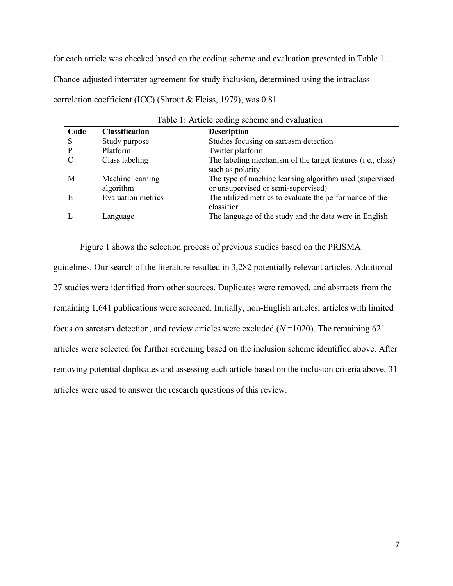for each article was checked based on the coding scheme and evaluation presented in Table 1.

Chance-adjusted interrater agreement for study inclusion, determined using the intraclass

correlation coefficient (ICC) (Shrout & Fleiss, 1979), was 0.81.

| Code | <b>Classification</b>         | <b>Description</b>                                                                             |
|------|-------------------------------|------------------------------------------------------------------------------------------------|
| S    | Study purpose                 | Studies focusing on sarcasm detection                                                          |
|      | Platform                      | Twitter platform                                                                               |
|      | Class labeling                | The labeling mechanism of the target features (i.e., class)<br>such as polarity                |
| M    | Machine learning<br>algorithm | The type of machine learning algorithm used (supervised<br>or unsupervised or semi-supervised) |
| E    | <b>Evaluation metrics</b>     | The utilized metrics to evaluate the performance of the<br>classifier                          |
|      | Language                      | The language of the study and the data were in English                                         |

 Figure 1 shows the selection process of previous studies based on the PRISMA guidelines. Our search of the literature resulted in 3,282 potentially relevant articles. Additional 27 studies were identified from other sources. Duplicates were removed, and abstracts from the remaining 1,641 publications were screened. Initially, non-English articles, articles with limited focus on sarcasm detection, and review articles were excluded (*N* =1020). The remaining 621 articles were selected for further screening based on the inclusion scheme identified above. After removing potential duplicates and assessing each article based on the inclusion criteria above, 31 articles were used to answer the research questions of this review.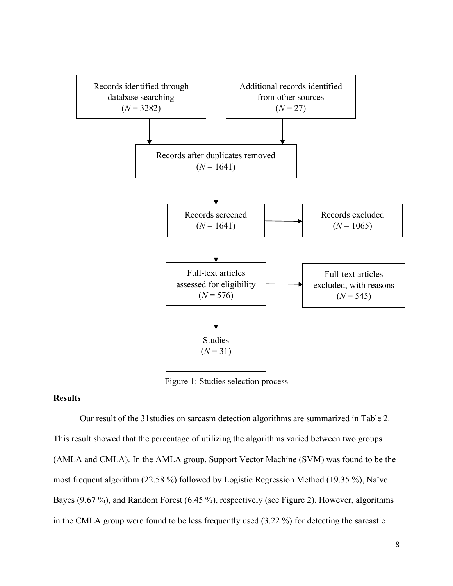

Figure 1: Studies selection process

# **Results**

 Our result of the 31studies on sarcasm detection algorithms are summarized in Table 2. This result showed that the percentage of utilizing the algorithms varied between two groups (AMLA and CMLA). In the AMLA group, Support Vector Machine (SVM) was found to be the most frequent algorithm (22.58 %) followed by Logistic Regression Method (19.35 %), Naïve Bayes (9.67 %), and Random Forest (6.45 %), respectively (see Figure 2). However, algorithms in the CMLA group were found to be less frequently used (3.22 %) for detecting the sarcastic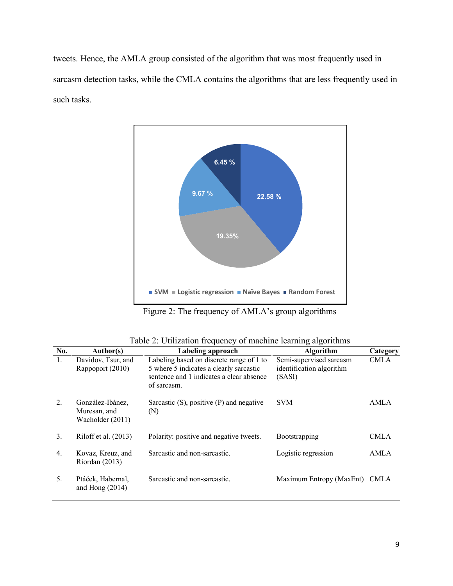tweets. Hence, the AMLA group consisted of the algorithm that was most frequently used in sarcasm detection tasks, while the CMLA contains the algorithms that are less frequently used in such tasks.



Figure 2: The frequency of AMLA's group algorithms

|  |  | Table 2: Utilization frequency of machine learning algorithms |
|--|--|---------------------------------------------------------------|
|  |  |                                                               |

| No.              | Author(s)                                            | Labeling approach                                                                                                                              | <b>Algorithm</b>                                              | Category    |
|------------------|------------------------------------------------------|------------------------------------------------------------------------------------------------------------------------------------------------|---------------------------------------------------------------|-------------|
| 1.               | Davidov, Tsur, and<br>Rappoport (2010)               | Labeling based on discrete range of 1 to<br>5 where 5 indicates a clearly sarcastic<br>sentence and 1 indicates a clear absence<br>of sarcasm. | Semi-supervised sarcasm<br>identification algorithm<br>(SASI) | <b>CMLA</b> |
| $\overline{2}$ . | González-Ibánez,<br>Muresan, and<br>Wacholder (2011) | Sarcastic $(S)$ , positive $(P)$ and negative<br>(N)                                                                                           | <b>SVM</b>                                                    | AMLA        |
| 3.               | Riloff et al. (2013)                                 | Polarity: positive and negative tweets.                                                                                                        | <b>Bootstrapping</b>                                          | CMLA        |
| 4.               | Kovaz, Kreuz, and<br>Riordan $(2013)$                | Sarcastic and non-sarcastic.                                                                                                                   | Logistic regression                                           | <b>AMLA</b> |
| 5.               | Ptáček, Habernal,<br>and Hong $(2014)$               | Sarcastic and non-sarcastic.                                                                                                                   | Maximum Entropy (MaxEnt)                                      | <b>CMLA</b> |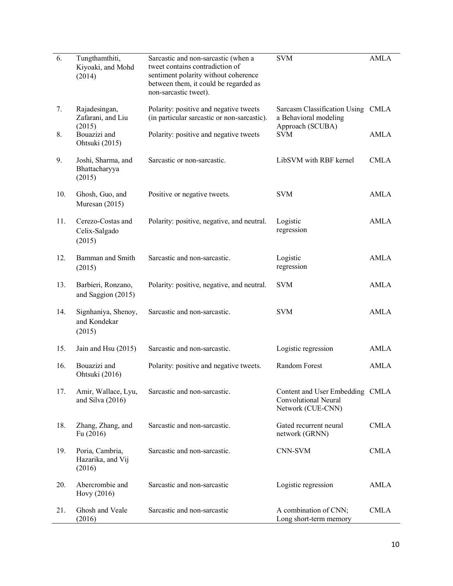| 6.  | Tungthamthiti,<br>Kiyoaki, and Mohd<br>(2014)  | <b>SVM</b><br>Sarcastic and non-sarcastic (when a<br>tweet contains contradiction of<br>sentiment polarity without coherence<br>between them, it could be regarded as<br>non-sarcastic tweet). |                                                                                | <b>AMLA</b> |
|-----|------------------------------------------------|------------------------------------------------------------------------------------------------------------------------------------------------------------------------------------------------|--------------------------------------------------------------------------------|-------------|
| 7.  | Rajadesingan,<br>Zafarani, and Liu<br>(2015)   | Polarity: positive and negative tweets<br>(in particular sarcastic or non-sarcastic).                                                                                                          | Sarcasm Classification Using CMLA<br>a Behavioral modeling<br>Approach (SCUBA) |             |
| 8.  | Bouazizi and<br>Ohtsuki (2015)                 | Polarity: positive and negative tweets<br><b>SVM</b>                                                                                                                                           |                                                                                | AMLA        |
| 9.  | Joshi, Sharma, and<br>Bhattacharyya<br>(2015)  | LibSVM with RBF kernel<br>Sarcastic or non-sarcastic.                                                                                                                                          |                                                                                | <b>CMLA</b> |
| 10. | Ghosh, Guo, and<br>Muresan (2015)              | Positive or negative tweets.                                                                                                                                                                   | <b>SVM</b>                                                                     | <b>AMLA</b> |
| 11. | Cerezo-Costas and<br>Celix-Salgado<br>(2015)   | Polarity: positive, negative, and neutral.                                                                                                                                                     | Logistic<br>regression                                                         | <b>AMLA</b> |
| 12. | Bamman and Smith<br>(2015)                     | Sarcastic and non-sarcastic.<br>Logistic<br>regression                                                                                                                                         |                                                                                | <b>AMLA</b> |
| 13. | Barbieri, Ronzano,<br>and Saggion (2015)       | Polarity: positive, negative, and neutral.                                                                                                                                                     | <b>SVM</b>                                                                     | AMLA        |
| 14. | Signhaniya, Shenoy,<br>and Kondekar<br>(2015)  | Sarcastic and non-sarcastic.                                                                                                                                                                   | <b>SVM</b>                                                                     | <b>AMLA</b> |
| 15. | Jain and Hsu (2015)                            | Sarcastic and non-sarcastic.                                                                                                                                                                   | Logistic regression                                                            | <b>AMLA</b> |
| 16. | Bouazizi and<br>Ohtsuki (2016)                 | Polarity: positive and negative tweets.                                                                                                                                                        | Random Forest                                                                  | <b>AMLA</b> |
| 17. | Amir, Wallace, Lyu,<br>and Silva $(2016)$      | Sarcastic and non-sarcastic.<br>Content and User Embedding CMLA<br><b>Convolutional Neural</b><br>Network (CUE-CNN)                                                                            |                                                                                |             |
| 18. | Zhang, Zhang, and<br>Fu $(2016)$               | Sarcastic and non-sarcastic.<br>Gated recurrent neural<br>network (GRNN)                                                                                                                       |                                                                                | <b>CMLA</b> |
| 19. | Poria, Cambria,<br>Hazarika, and Vij<br>(2016) | Sarcastic and non-sarcastic.                                                                                                                                                                   | CNN-SVM                                                                        | <b>CMLA</b> |
| 20. | Abercrombie and<br>Hovy (2016)                 | Sarcastic and non-sarcastic<br>Logistic regression                                                                                                                                             |                                                                                | <b>AMLA</b> |
| 21. | Ghosh and Veale<br>(2016)                      | Sarcastic and non-sarcastic                                                                                                                                                                    | A combination of CNN;<br>Long short-term memory                                | <b>CMLA</b> |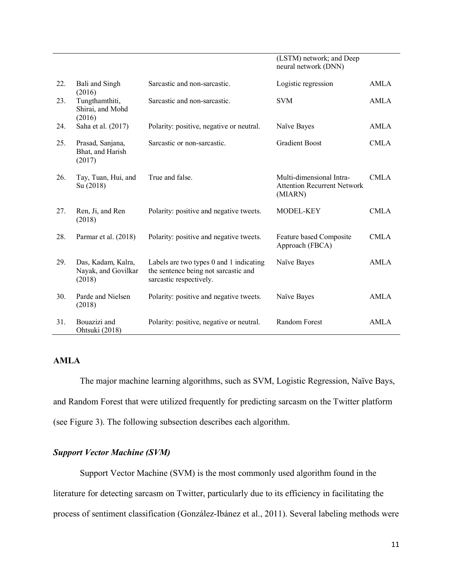|     |                                                     |                                                                                                            | neural network (DNN)                                                      |             |
|-----|-----------------------------------------------------|------------------------------------------------------------------------------------------------------------|---------------------------------------------------------------------------|-------------|
| 22. | Bali and Singh<br>(2016)                            | Sarcastic and non-sarcastic.                                                                               | Logistic regression                                                       | AMLA        |
| 23. | Tungthamthiti,<br>Shirai, and Mohd<br>(2016)        | Sarcastic and non-sarcastic.                                                                               | <b>SVM</b>                                                                | <b>AMLA</b> |
| 24. | Saha et al. (2017)                                  | Polarity: positive, negative or neutral.                                                                   | Naïve Bayes                                                               | <b>AMLA</b> |
| 25. | Prasad, Sanjana,<br>Bhat, and Harish<br>(2017)      | Sarcastic or non-sarcastic.                                                                                | <b>Gradient Boost</b>                                                     | <b>CMLA</b> |
| 26. | Tay, Tuan, Hui, and<br>Su (2018)                    | True and false.                                                                                            | Multi-dimensional Intra-<br><b>Attention Recurrent Network</b><br>(MIARN) | CMLA        |
| 27. | Ren, Ji, and Ren<br>(2018)                          | Polarity: positive and negative tweets.                                                                    | MODEL-KEY                                                                 | CMLA        |
| 28. | Parmar et al. (2018)                                | Polarity: positive and negative tweets.                                                                    | Feature based Composite<br>Approach (FBCA)                                | <b>CMLA</b> |
| 29. | Das, Kadam, Kalra,<br>Nayak, and Govilkar<br>(2018) | Labels are two types 0 and 1 indicating<br>the sentence being not sarcastic and<br>sarcastic respectively. | Naïve Bayes                                                               | AMLA        |
| 30. | Parde and Nielsen<br>(2018)                         | Polarity: positive and negative tweets.                                                                    | Naïve Bayes                                                               | <b>AMLA</b> |
| 31. | Bouazizi and<br>Ohtsuki (2018)                      | Polarity: positive, negative or neutral.                                                                   | Random Forest                                                             | AMLA        |

(LSTM) network; and Deep

# **AMLA**

 The major machine learning algorithms, such as SVM, Logistic Regression, Naïve Bays, and Random Forest that were utilized frequently for predicting sarcasm on the Twitter platform (see Figure 3). The following subsection describes each algorithm.

#### *Support Vector Machine (SVM)*

 Support Vector Machine (SVM) is the most commonly used algorithm found in the literature for detecting sarcasm on Twitter, particularly due to its efficiency in facilitating the process of sentiment classification (González-Ibánez et al., 2011). Several labeling methods were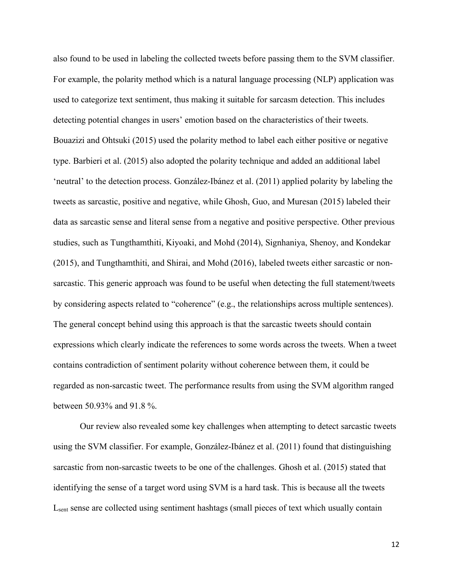also found to be used in labeling the collected tweets before passing them to the SVM classifier. For example, the polarity method which is a natural language processing (NLP) application was used to categorize text sentiment, thus making it suitable for sarcasm detection. This includes detecting potential changes in users' emotion based on the characteristics of their tweets. Bouazizi and Ohtsuki (2015) used the polarity method to label each either positive or negative type. Barbieri et al. (2015) also adopted the polarity technique and added an additional label 'neutral' to the detection process. González-Ibánez et al. (2011) applied polarity by labeling the tweets as sarcastic, positive and negative, while Ghosh, Guo, and Muresan (2015) labeled their data as sarcastic sense and literal sense from a negative and positive perspective. Other previous studies, such as Tungthamthiti, Kiyoaki, and Mohd (2014), Signhaniya, Shenoy, and Kondekar (2015), and Tungthamthiti, and Shirai, and Mohd (2016), labeled tweets either sarcastic or non- sarcastic. This generic approach was found to be useful when detecting the full statement/tweets by considering aspects related to "coherence" (e.g., the relationships across multiple sentences). The general concept behind using this approach is that the sarcastic tweets should contain expressions which clearly indicate the references to some words across the tweets. When a tweet contains contradiction of sentiment polarity without coherence between them, it could be regarded as non-sarcastic tweet. The performance results from using the SVM algorithm ranged between 50.93% and 91.8 %.

 Our review also revealed some key challenges when attempting to detect sarcastic tweets using the SVM classifier. For example, González-Ibánez et al. (2011) found that distinguishing sarcastic from non-sarcastic tweets to be one of the challenges. Ghosh et al. (2015) stated that identifying the sense of a target word using SVM is a hard task. This is because all the tweets Lsent sense are collected using sentiment hashtags (small pieces of text which usually contain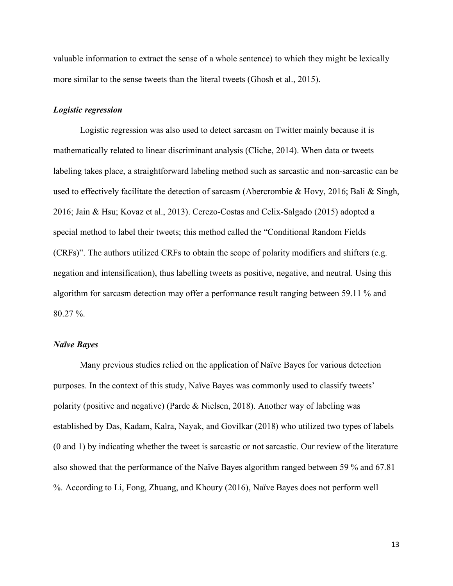valuable information to extract the sense of a whole sentence) to which they might be lexically more similar to the sense tweets than the literal tweets (Ghosh et al., 2015).

#### *Logistic regression*

 Logistic regression was also used to detect sarcasm on Twitter mainly because it is mathematically related to linear discriminant analysis (Cliche, 2014). When data or tweets labeling takes place, a straightforward labeling method such as sarcastic and non-sarcastic can be used to effectively facilitate the detection of sarcasm (Abercrombie & Hovy, 2016; Bali & Singh, 2016; Jain & Hsu; Kovaz et al., 2013). Cerezo-Costas and Celix-Salgado (2015) adopted a special method to label their tweets; this method called the "Conditional Random Fields (CRFs)". The authors utilized CRFs to obtain the scope of polarity modifiers and shifters (e.g. negation and intensification), thus labelling tweets as positive, negative, and neutral. Using this algorithm for sarcasm detection may offer a performance result ranging between 59.11 % and 80.27 %.

#### *Naïve Bayes*

 Many previous studies relied on the application of Naïve Bayes for various detection purposes. In the context of this study, Naïve Bayes was commonly used to classify tweets' polarity (positive and negative) (Parde & Nielsen, 2018). Another way of labeling was established by Das, Kadam, Kalra, Nayak, and Govilkar (2018) who utilized two types of labels (0 and 1) by indicating whether the tweet is sarcastic or not sarcastic. Our review of the literature also showed that the performance of the Naïve Bayes algorithm ranged between 59 % and 67.81 %. According to Li, Fong, Zhuang, and Khoury (2016), Naïve Bayes does not perform well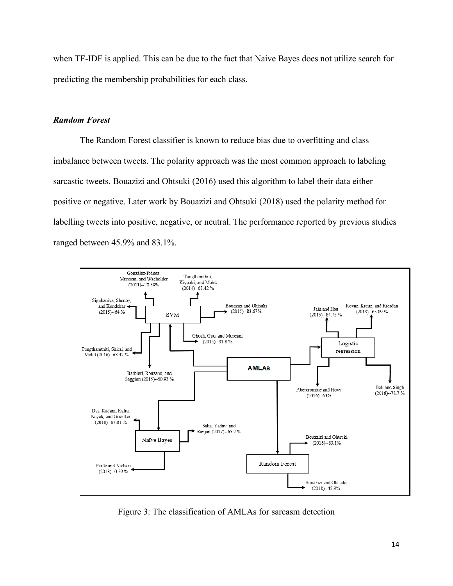when TF-IDF is applied. This can be due to the fact that Naive Bayes does not utilize search for predicting the membership probabilities for each class.

#### *Random Forest*

 The Random Forest classifier is known to reduce bias due to overfitting and class imbalance between tweets. The polarity approach was the most common approach to labeling sarcastic tweets. Bouazizi and Ohtsuki (2016) used this algorithm to label their data either positive or negative. Later work by Bouazizi and Ohtsuki (2018) used the polarity method for labelling tweets into positive, negative, or neutral. The performance reported by previous studies ranged between 45.9% and 83.1%.



Figure 3: The classification of AMLAs for sarcasm detection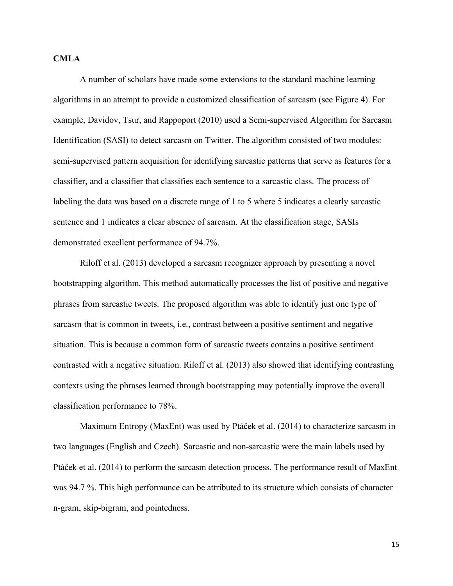#### **CMLA**

 A number of scholars have made some extensions to the standard machine learning algorithms in an attempt to provide a customized classification of sarcasm (see Figure 4). For example, Davidov, Tsur, and Rappoport (2010) used a Semi-supervised Algorithm for Sarcasm Identification (SASI) to detect sarcasm on Twitter. The algorithm consisted of two modules: semi-supervised pattern acquisition for identifying sarcastic patterns that serve as features for a classifier, and a classifier that classifies each sentence to a sarcastic class. The process of labeling the data was based on a discrete range of 1 to 5 where 5 indicates a clearly sarcastic sentence and 1 indicates a clear absence of sarcasm. At the classification stage, SASIs demonstrated excellent performance of 94.7%.

 Riloff et al. (2013) developed a sarcasm recognizer approach by presenting a novel bootstrapping algorithm. This method automatically processes the list of positive and negative phrases from sarcastic tweets. The proposed algorithm was able to identify just one type of sarcasm that is common in tweets, i.e., contrast between a positive sentiment and negative situation. This is because a common form of sarcastic tweets contains a positive sentiment contrasted with a negative situation. Riloff et al. (2013) also showed that identifying contrasting contexts using the phrases learned through bootstrapping may potentially improve the overall classification performance to 78%.

 Maximum Entropy (MaxEnt) was used by Ptáček et al. (2014) to characterize sarcasm in two languages (English and Czech). Sarcastic and non-sarcastic were the main labels used by Ptáček et al. (2014) to perform the sarcasm detection process. The performance result of MaxEnt was 94.7 %. This high performance can be attributed to its structure which consists of character n-gram, skip-bigram, and pointedness.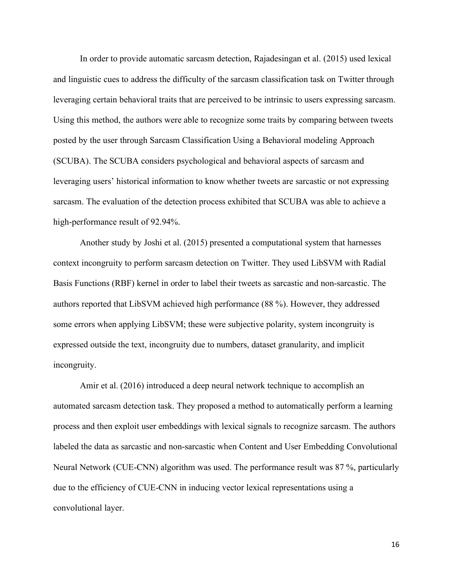In order to provide automatic sarcasm detection, Rajadesingan et al. (2015) used lexical and linguistic cues to address the difficulty of the sarcasm classification task on Twitter through leveraging certain behavioral traits that are perceived to be intrinsic to users expressing sarcasm. Using this method, the authors were able to recognize some traits by comparing between tweets posted by the user through Sarcasm Classification Using a Behavioral modeling Approach (SCUBA). The SCUBA considers psychological and behavioral aspects of sarcasm and leveraging users' historical information to know whether tweets are sarcastic or not expressing sarcasm. The evaluation of the detection process exhibited that SCUBA was able to achieve a high-performance result of 92.94%.

 Another study by Joshi et al. (2015) presented a computational system that harnesses context incongruity to perform sarcasm detection on Twitter. They used LibSVM with Radial Basis Functions (RBF) kernel in order to label their tweets as sarcastic and non-sarcastic. The authors reported that LibSVM achieved high performance (88 %). However, they addressed some errors when applying LibSVM; these were subjective polarity, system incongruity is expressed outside the text, incongruity due to numbers, dataset granularity, and implicit incongruity. incongruity. Amir et al. (2016) introduced a deep neural network technique to accomplish an

 automated sarcasm detection task. They proposed a method to automatically perform a learning process and then exploit user embeddings with lexical signals to recognize sarcasm. The authors labeled the data as sarcastic and non-sarcastic when Content and User Embedding Convolutional Neural Network (CUE-CNN) algorithm was used. The performance result was 87 %, particularly due to the efficiency of CUE-CNN in inducing vector lexical representations using a convolutional layer.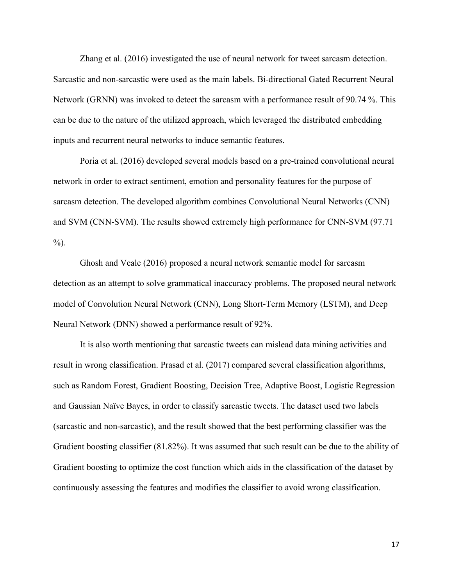Zhang et al. (2016) investigated the use of neural network for tweet sarcasm detection. Sarcastic and non-sarcastic were used as the main labels. Bi-directional Gated Recurrent Neural Network (GRNN) was invoked to detect the sarcasm with a performance result of 90.74 %. This can be due to the nature of the utilized approach, which leveraged the distributed embedding inputs and recurrent neural networks to induce semantic features.

 Poria et al. (2016) developed several models based on a pre-trained convolutional neural network in order to extract sentiment, emotion and personality features for the purpose of sarcasm detection. The developed algorithm combines Convolutional Neural Networks (CNN) and SVM (CNN-SVM). The results showed extremely high performance for CNN-SVM (97.71  $\%$ ).

 Ghosh and Veale (2016) proposed a neural network semantic model for sarcasm detection as an attempt to solve grammatical inaccuracy problems. The proposed neural network model of Convolution Neural Network (CNN), Long Short-Term Memory (LSTM), and Deep Neural Network (DNN) showed a performance result of 92%.

 It is also worth mentioning that sarcastic tweets can mislead data mining activities and result in wrong classification. Prasad et al. (2017) compared several classification algorithms, such as Random Forest, Gradient Boosting, Decision Tree, Adaptive Boost, Logistic Regression and Gaussian Naïve Bayes, in order to classify sarcastic tweets. The dataset used two labels (sarcastic and non-sarcastic), and the result showed that the best performing classifier was the Gradient boosting classifier (81.82%). It was assumed that such result can be due to the ability of Gradient boosting to optimize the cost function which aids in the classification of the dataset by continuously assessing the features and modifies the classifier to avoid wrong classification.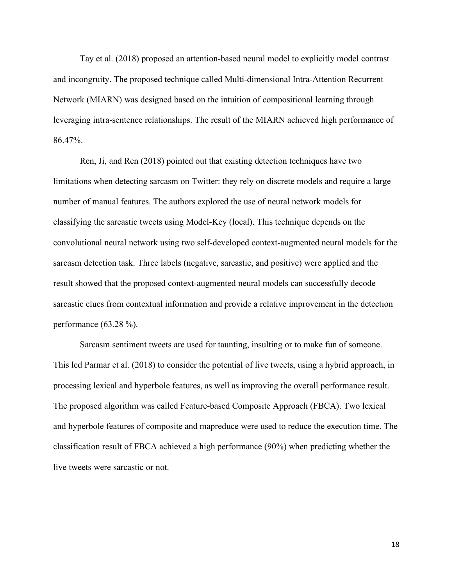Tay et al. (2018) proposed an attention-based neural model to explicitly model contrast and incongruity. The proposed technique called Multi-dimensional Intra-Attention Recurrent Network (MIARN) was designed based on the intuition of compositional learning through leveraging intra-sentence relationships. The result of the MIARN achieved high performance of 86.47%.

 limitations when detecting sarcasm on Twitter: they rely on discrete models and require a large number of manual features. The authors explored the use of neural network models for classifying the sarcastic tweets using Model-Key (local). This technique depends on the convolutional neural network using two self-developed context-augmented neural models for the sarcasm detection task. Three labels (negative, sarcastic, and positive) were applied and the result showed that the proposed context-augmented neural models can successfully decode sarcastic clues from contextual information and provide a relative improvement in the detection performance (63.28 %). Ren, Ji, and Ren (2018) pointed out that existing detection techniques have two

 Sarcasm sentiment tweets are used for taunting, insulting or to make fun of someone. This led Parmar et al. (2018) to consider the potential of live tweets, using a hybrid approach, in processing lexical and hyperbole features, as well as improving the overall performance result. The proposed algorithm was called Feature-based Composite Approach (FBCA). Two lexical and hyperbole features of composite and mapreduce were used to reduce the execution time. The classification result of FBCA achieved a high performance (90%) when predicting whether the live tweets were sarcastic or not.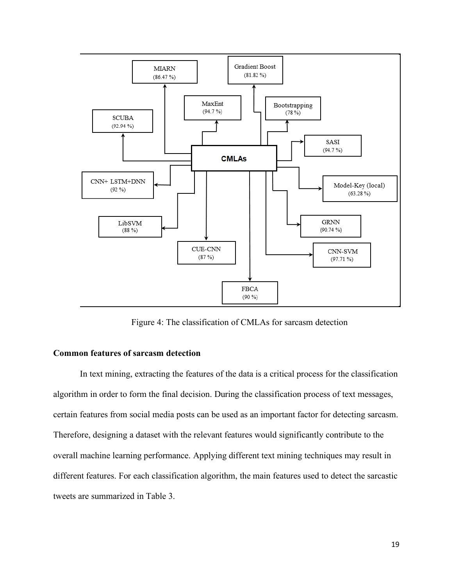

Figure 4: The classification of CMLAs for sarcasm detection

# **Common features of sarcasm detection**

 In text mining, extracting the features of the data is a critical process for the classification algorithm in order to form the final decision. During the classification process of text messages, certain features from social media posts can be used as an important factor for detecting sarcasm. Therefore, designing a dataset with the relevant features would significantly contribute to the overall machine learning performance. Applying different text mining techniques may result in different features. For each classification algorithm, the main features used to detect the sarcastic tweets are summarized in Table 3.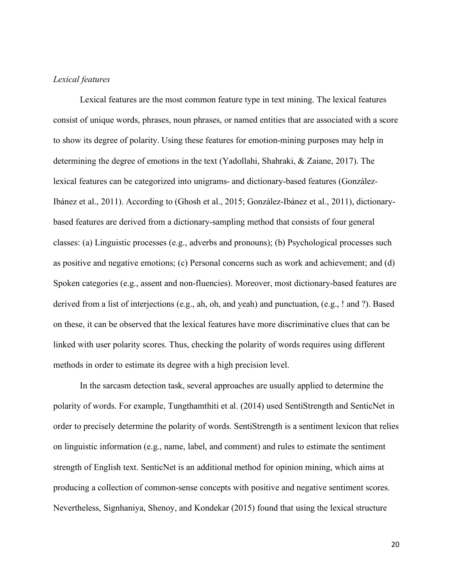# *Lexical features*

 Lexical features are the most common feature type in text mining. The lexical features consist of unique words, phrases, noun phrases, or named entities that are associated with a score to show its degree of polarity. Using these features for emotion-mining purposes may help in determining the degree of emotions in the text (Yadollahi, Shahraki, & Zaiane, 2017). The lexical features can be categorized into unigrams- and dictionary-based features (González- Ibánez et al., 2011). According to (Ghosh et al., 2015; González-Ibánez et al., 2011), dictionary- based features are derived from a dictionary-sampling method that consists of four general classes: (a) Linguistic processes (e.g., adverbs and pronouns); (b) Psychological processes such as positive and negative emotions; (c) Personal concerns such as work and achievement; and (d) Spoken categories (e.g., assent and non-fluencies). Moreover, most dictionary-based features are derived from a list of interjections (e.g., ah, oh, and yeah) and punctuation, (e.g., ! and ?). Based on these, it can be observed that the lexical features have more discriminative clues that can be linked with user polarity scores. Thus, checking the polarity of words requires using different methods in order to estimate its degree with a high precision level.

 In the sarcasm detection task, several approaches are usually applied to determine the polarity of words. For example, Tungthamthiti et al. (2014) used SentiStrength and SenticNet in order to precisely determine the polarity of words. SentiStrength is a sentiment lexicon that relies on linguistic information (e.g., name, label, and comment) and rules to estimate the sentiment strength of English text. SenticNet is an additional method for opinion mining, which aims at producing a collection of common-sense concepts with positive and negative sentiment scores. Nevertheless, Signhaniya, Shenoy, and Kondekar (2015) found that using the lexical structure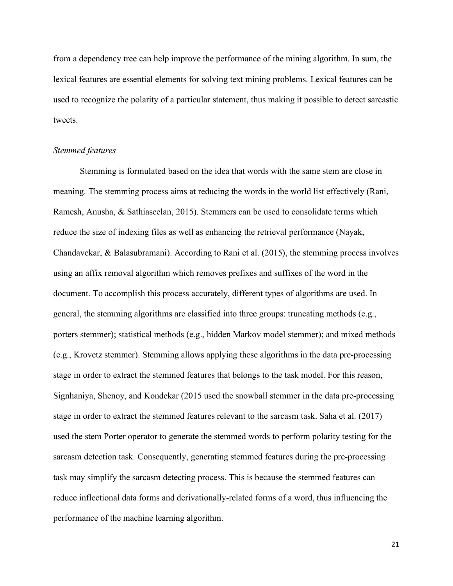from a dependency tree can help improve the performance of the mining algorithm. In sum, the lexical features are essential elements for solving text mining problems. Lexical features can be used to recognize the polarity of a particular statement, thus making it possible to detect sarcastic tweets.

#### *Stemmed features*

 Stemming is formulated based on the idea that words with the same stem are close in meaning. The stemming process aims at reducing the words in the world list effectively (Rani, Ramesh, Anusha, & Sathiaseelan, 2015). Stemmers can be used to consolidate terms which reduce the size of indexing files as well as enhancing the retrieval performance (Nayak, Chandavekar, & Balasubramani). According to Rani et al. (2015), the stemming process involves using an affix removal algorithm which removes prefixes and suffixes of the word in the document. To accomplish this process accurately, different types of algorithms are used. In general, the stemming algorithms are classified into three groups: truncating methods (e.g., porters stemmer); statistical methods (e.g., hidden Markov model stemmer); and mixed methods (e.g., Krovetz stemmer). Stemming allows applying these algorithms in the data pre-processing stage in order to extract the stemmed features that belongs to the task model. For this reason, Signhaniya, Shenoy, and Kondekar (2015 used the snowball stemmer in the data pre-processing stage in order to extract the stemmed features relevant to the sarcasm task. Saha et al. (2017) used the stem Porter operator to generate the stemmed words to perform polarity testing for the sarcasm detection task. Consequently, generating stemmed features during the pre-processing task may simplify the sarcasm detecting process. This is because the stemmed features can reduce inflectional data forms and derivationally-related forms of a word, thus influencing the performance of the machine learning algorithm.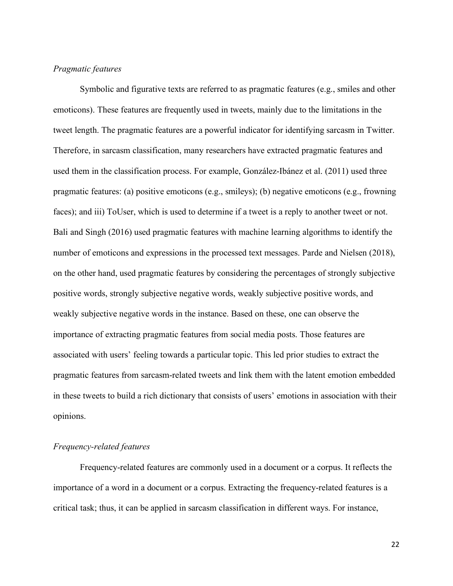# *Pragmatic features*

 Symbolic and figurative texts are referred to as pragmatic features (e.g., smiles and other emoticons). These features are frequently used in tweets, mainly due to the limitations in the tweet length. The pragmatic features are a powerful indicator for identifying sarcasm in Twitter. Therefore, in sarcasm classification, many researchers have extracted pragmatic features and used them in the classification process. For example, González-Ibánez et al. (2011) used three pragmatic features: (a) positive emoticons (e.g., smileys); (b) negative emoticons (e.g., frowning faces); and iii) ToUser, which is used to determine if a tweet is a reply to another tweet or not. Bali and Singh (2016) used pragmatic features with machine learning algorithms to identify the number of emoticons and expressions in the processed text messages. Parde and Nielsen (2018), on the other hand, used pragmatic features by considering the percentages of strongly subjective positive words, strongly subjective negative words, weakly subjective positive words, and weakly subjective negative words in the instance. Based on these, one can observe the importance of extracting pragmatic features from social media posts. Those features are associated with users' feeling towards a particular topic. This led prior studies to extract the pragmatic features from sarcasm-related tweets and link them with the latent emotion embedded in these tweets to build a rich dictionary that consists of users' emotions in association with their opinions.

# *Frequency-related features*

 Frequency-related features are commonly used in a document or a corpus. It reflects the importance of a word in a document or a corpus. Extracting the frequency-related features is a critical task; thus, it can be applied in sarcasm classification in different ways. For instance,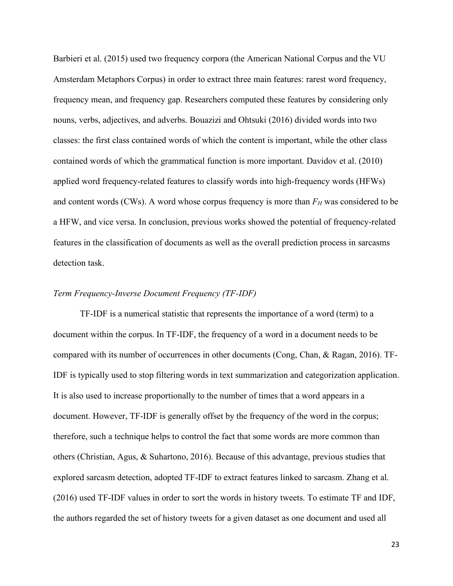Barbieri et al. (2015) used two frequency corpora (the American National Corpus and the VU Amsterdam Metaphors Corpus) in order to extract three main features: rarest word frequency, frequency mean, and frequency gap. Researchers computed these features by considering only nouns, verbs, adjectives, and adverbs. Bouazizi and Ohtsuki (2016) divided words into two classes: the first class contained words of which the content is important, while the other class contained words of which the grammatical function is more important. Davidov et al. (2010) applied word frequency-related features to classify words into high-frequency words (HFWs) and content words (CWs). A word whose corpus frequency is more than  $F_H$  was considered to be a HFW, and vice versa. In conclusion, previous works showed the potential of frequency-related features in the classification of documents as well as the overall prediction process in sarcasms detection task.

#### *Term Frequency-Inverse Document Frequency (TF-IDF)*

 TF-IDF is a numerical statistic that represents the importance of a word (term) to a document within the corpus. In TF-IDF, the frequency of a word in a document needs to be compared with its number of occurrences in other documents (Cong, Chan, & Ragan, 2016). TF- IDF is typically used to stop filtering words in text summarization and categorization application. It is also used to increase proportionally to the number of times that a word appears in a document. However, TF-IDF is generally offset by the frequency of the word in the corpus; therefore, such a technique helps to control the fact that some words are more common than others (Christian, Agus, & Suhartono, 2016). Because of this advantage, previous studies that explored sarcasm detection, adopted TF-IDF to extract features linked to sarcasm. Zhang et al. (2016) used TF-IDF values in order to sort the words in history tweets. To estimate TF and IDF, the authors regarded the set of history tweets for a given dataset as one document and used all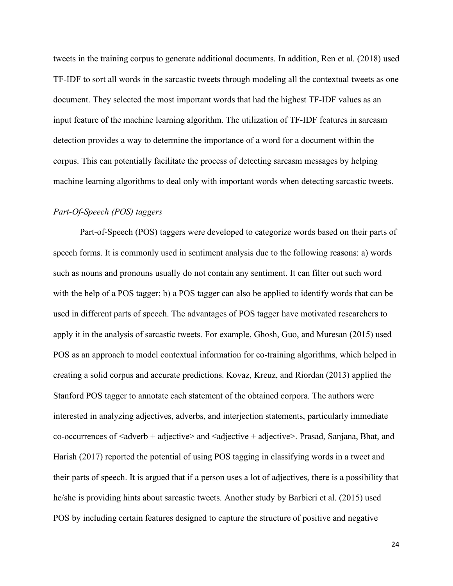tweets in the training corpus to generate additional documents. In addition, Ren et al. (2018) used TF-IDF to sort all words in the sarcastic tweets through modeling all the contextual tweets as one document. They selected the most important words that had the highest TF-IDF values as an input feature of the machine learning algorithm. The utilization of TF-IDF features in sarcasm detection provides a way to determine the importance of a word for a document within the corpus. This can potentially facilitate the process of detecting sarcasm messages by helping machine learning algorithms to deal only with important words when detecting sarcastic tweets.

#### *Part-Of-Speech (POS) taggers*

 Part-of-Speech (POS) taggers were developed to categorize words based on their parts of speech forms. It is commonly used in sentiment analysis due to the following reasons: a) words such as nouns and pronouns usually do not contain any sentiment. It can filter out such word with the help of a POS tagger; b) a POS tagger can also be applied to identify words that can be used in different parts of speech. The advantages of POS tagger have motivated researchers to apply it in the analysis of sarcastic tweets. For example, Ghosh, Guo, and Muresan (2015) used POS as an approach to model contextual information for co-training algorithms, which helped in creating a solid corpus and accurate predictions. Kovaz, Kreuz, and Riordan (2013) applied the Stanford POS tagger to annotate each statement of the obtained corpora. The authors were interested in analyzing adjectives, adverbs, and interjection statements, particularly immediate co-occurrences of <adverb + adjective> and <adjective + adjective>. Prasad, Sanjana, Bhat, and Harish (2017) reported the potential of using POS tagging in classifying words in a tweet and their parts of speech. It is argued that if a person uses a lot of adjectives, there is a possibility that he/she is providing hints about sarcastic tweets. Another study by Barbieri et al. (2015) used POS by including certain features designed to capture the structure of positive and negative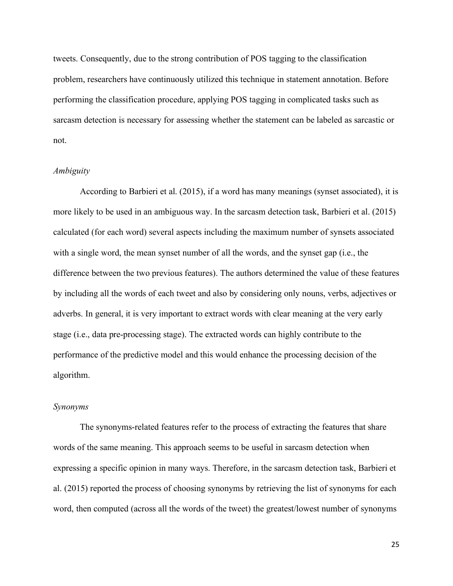tweets. Consequently, due to the strong contribution of POS tagging to the classification problem, researchers have continuously utilized this technique in statement annotation. Before performing the classification procedure, applying POS tagging in complicated tasks such as sarcasm detection is necessary for assessing whether the statement can be labeled as sarcastic or not.

# *Ambiguity*

 According to Barbieri et al. (2015), if a word has many meanings (synset associated), it is more likely to be used in an ambiguous way. In the sarcasm detection task, Barbieri et al. (2015) calculated (for each word) several aspects including the maximum number of synsets associated with a single word, the mean synset number of all the words, and the synset gap (i.e., the difference between the two previous features). The authors determined the value of these features by including all the words of each tweet and also by considering only nouns, verbs, adjectives or adverbs. In general, it is very important to extract words with clear meaning at the very early stage (i.e., data pre-processing stage). The extracted words can highly contribute to the performance of the predictive model and this would enhance the processing decision of the algorithm.

# *Synonyms*

 The synonyms-related features refer to the process of extracting the features that share words of the same meaning. This approach seems to be useful in sarcasm detection when expressing a specific opinion in many ways. Therefore, in the sarcasm detection task, Barbieri et al. (2015) reported the process of choosing synonyms by retrieving the list of synonyms for each word, then computed (across all the words of the tweet) the greatest/lowest number of synonyms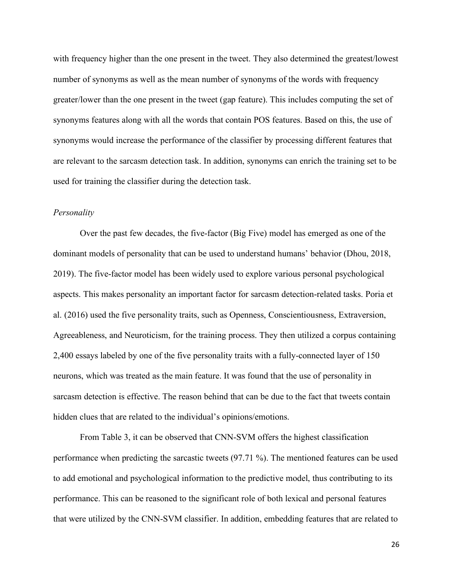with frequency higher than the one present in the tweet. They also determined the greatest/lowest number of synonyms as well as the mean number of synonyms of the words with frequency greater/lower than the one present in the tweet (gap feature). This includes computing the set of synonyms features along with all the words that contain POS features. Based on this, the use of synonyms would increase the performance of the classifier by processing different features that are relevant to the sarcasm detection task. In addition, synonyms can enrich the training set to be used for training the classifier during the detection task.

#### *Personality*

 Over the past few decades, the five-factor (Big Five) model has emerged as one of the dominant models of personality that can be used to understand humans' behavior (Dhou, 2018, 2019). The five-factor model has been widely used to explore various personal psychological aspects. This makes personality an important factor for sarcasm detection-related tasks. Poria et al. (2016) used the five personality traits, such as Openness, Conscientiousness, Extraversion, Agreeableness, and Neuroticism, for the training process. They then utilized a corpus containing 2,400 essays labeled by one of the five personality traits with a fully-connected layer of 150 neurons, which was treated as the main feature. It was found that the use of personality in sarcasm detection is effective. The reason behind that can be due to the fact that tweets contain hidden clues that are related to the individual's opinions/emotions.

 From Table 3, it can be observed that CNN-SVM offers the highest classification performance when predicting the sarcastic tweets (97.71 %). The mentioned features can be used to add emotional and psychological information to the predictive model, thus contributing to its performance. This can be reasoned to the significant role of both lexical and personal features that were utilized by the CNN-SVM classifier. In addition, embedding features that are related to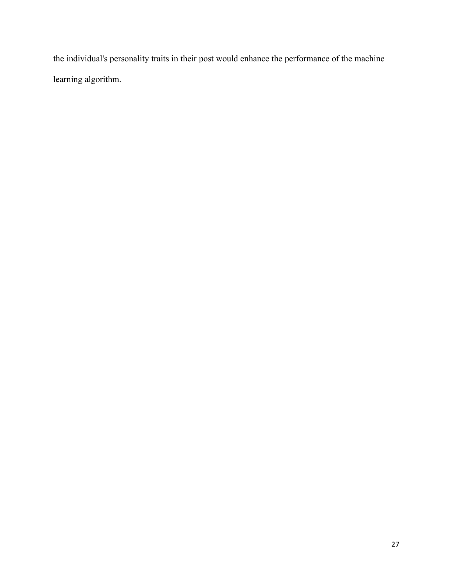the individual's personality traits in their post would enhance the performance of the machine learning algorithm.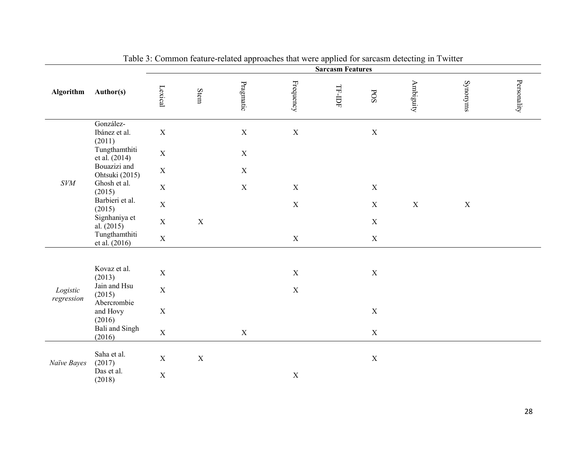|                        | гr<br><b>Sarcasm Features</b>        |             |             |             |             |                    |              |             |             |             |
|------------------------|--------------------------------------|-------------|-------------|-------------|-------------|--------------------|--------------|-------------|-------------|-------------|
| Algorithm              | Author(s)                            | Lexical     | Stem        | Pragmatic   | Frequency   | $\Gamma$ - IDF-IDF | $_{\rm POS}$ | Ambiguity   | Synonyms    | Personality |
|                        | González-<br>Ibánez et al.<br>(2011) | $\mathbf X$ |             | $\mathbf X$ | $\mathbf X$ |                    | $\mathbf X$  |             |             |             |
|                        | Tungthamthiti<br>et al. (2014)       | $\mathbf X$ |             | $\mathbf X$ |             |                    |              |             |             |             |
|                        | Bouazizi and<br>Ohtsuki (2015)       | $\mathbf X$ |             | $\mathbf X$ |             |                    |              |             |             |             |
| $\mathit{SVM}$         | Ghosh et al.<br>(2015)               | $\mathbf X$ |             | $\mathbf X$ | $\mathbf X$ |                    | $\mathbf X$  |             |             |             |
|                        | Barbieri et al.<br>(2015)            | $\mathbf X$ |             |             | $\mathbf X$ |                    | $\mathbf X$  | $\mathbf X$ | $\mathbf X$ |             |
|                        | Signhaniya et<br>al. $(2015)$        | $\mathbf X$ | $\mathbf X$ |             |             |                    | $\mathbf X$  |             |             |             |
|                        | Tungthamthiti<br>et al. (2016)       | $\mathbf X$ |             |             | $\mathbf X$ |                    | $\mathbf X$  |             |             |             |
|                        |                                      |             |             |             |             |                    |              |             |             |             |
|                        | Kovaz et al.<br>(2013)               | $\mathbf X$ |             |             | $\mathbf X$ |                    | $\mathbf X$  |             |             |             |
| Logistic<br>regression | Jain and Hsu<br>(2015)               | $\mathbf X$ |             |             | $\mathbf X$ |                    |              |             |             |             |
|                        | Abercrombie<br>and Hovy<br>(2016)    | $\mathbf X$ |             |             |             |                    | $\mathbf X$  |             |             |             |
|                        | Bali and Singh<br>(2016)             | $\mathbf X$ |             | $\mathbf X$ |             |                    | $\mathbf X$  |             |             |             |
| Naïve Bayes            | Saha et al.<br>(2017)                | $\mathbf X$ | $\mathbf X$ |             |             |                    | $\mathbf X$  |             |             |             |
|                        | Das et al.<br>(2018)                 | $\mathbf X$ |             |             | $\mathbf X$ |                    |              |             |             |             |

Table 3: Common feature-related approaches that were applied for sarcasm detecting in Twitter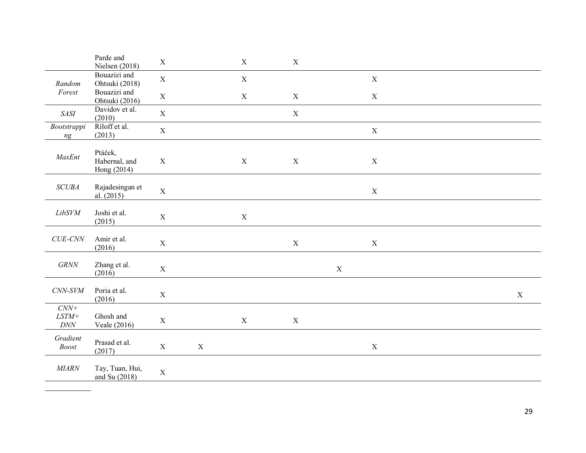|                                                                     | Parde and<br>Nielsen (2018)             | $\mathbf X$ |             | $\mathbf X$ | $\mathbf X$ |             |             |  |             |
|---------------------------------------------------------------------|-----------------------------------------|-------------|-------------|-------------|-------------|-------------|-------------|--|-------------|
| Random                                                              | Bouazizi and<br>Ohtsuki (2018)          | $\mathbf X$ |             | $\mathbf X$ |             |             | $\mathbf X$ |  |             |
| Forest                                                              | Bouazizi and<br>Ohtsuki (2016)          | $\mathbf X$ |             | $\mathbf X$ | $\mathbf X$ |             | $\mathbf X$ |  |             |
| SASI                                                                | Davidov et al.<br>(2010)                | $\mathbf X$ |             |             | $\mathbf X$ |             |             |  |             |
| <b>Bootstrappi</b><br>ng                                            | Riloff et al.<br>(2013)                 | $\mathbf X$ |             |             |             |             | $\mathbf X$ |  |             |
| $\ensuremath{\textit{MaxEnt}}$                                      | Ptáček,<br>Habernal, and<br>Hong (2014) | $\mathbf X$ |             | $\mathbf X$ | $\mathbf X$ |             | $\mathbf X$ |  |             |
| SCUBA                                                               | Rajadesingan et<br>al. (2015)           | $\mathbf X$ |             |             |             |             | $\mathbf X$ |  |             |
| $LibSVM$                                                            | Joshi et al.<br>(2015)                  | $\mathbf X$ |             | $\mathbf X$ |             |             |             |  |             |
| $CUE\text{-}CNN$                                                    | Amir et al.<br>(2016)                   | $\mathbf X$ |             |             | $\mathbf X$ |             | $\mathbf X$ |  |             |
| $GRNN$                                                              | Zhang et al.<br>(2016)                  | $\mathbf X$ |             |             |             | $\mathbf X$ |             |  |             |
| $CNN$ - $SVM$                                                       | Poria et al.<br>(2016)                  | $\mathbf X$ |             |             |             |             |             |  | $\mathbf X$ |
| $CNN+$<br>$\ensuremath{\mathit{LSTM}\xspace}\xspace +$<br>$D\!N\!N$ | Ghosh and<br>Veale (2016)               | $\mathbf X$ |             | $\mathbf X$ | $\mathbf X$ |             |             |  |             |
| Gradient<br>$\it {Boost}$                                           | Prasad et al.<br>(2017)                 | $\mathbf X$ | $\mathbf X$ |             |             |             | $\mathbf X$ |  |             |
| MIARN                                                               | Tay, Tuan, Hui,<br>and Su (2018)        | $\mathbf X$ |             |             |             |             |             |  |             |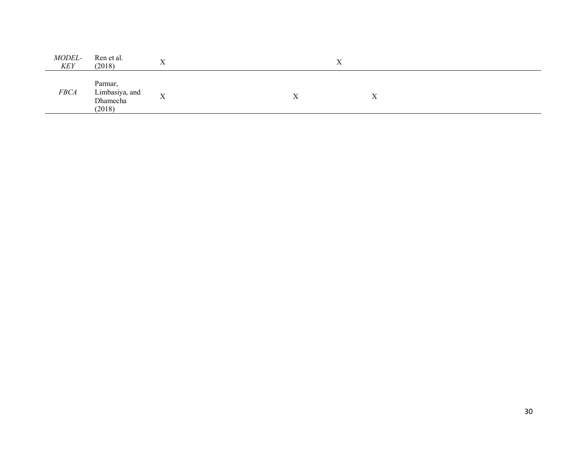| MODEL-<br><b>KEY</b> | Ren et al.<br>(2018)                            | $\mathbf v$<br>$\lambda$  |                | ∡ |           |  |
|----------------------|-------------------------------------------------|---------------------------|----------------|---|-----------|--|
| <b>FBCA</b>          | Parmar,<br>Limbasiya, and<br>Dhamecha<br>(2018) | $\mathbf{v}$<br>$\Lambda$ | $\overline{ }$ |   | $\Lambda$ |  |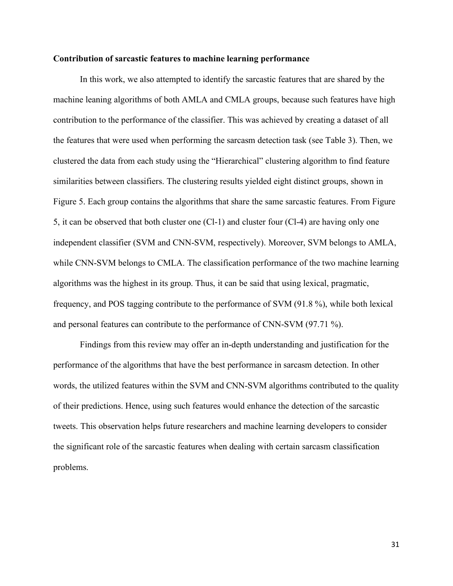#### **Contribution of sarcastic features to machine learning performance**

 In this work, we also attempted to identify the sarcastic features that are shared by the machine leaning algorithms of both AMLA and CMLA groups, because such features have high contribution to the performance of the classifier. This was achieved by creating a dataset of all the features that were used when performing the sarcasm detection task (see Table 3). Then, we clustered the data from each study using the "Hierarchical" clustering algorithm to find feature similarities between classifiers. The clustering results yielded eight distinct groups, shown in Figure 5. Each group contains the algorithms that share the same sarcastic features. From Figure 5, it can be observed that both cluster one (Cl-1) and cluster four (Cl-4) are having only one independent classifier (SVM and CNN-SVM, respectively). Moreover, SVM belongs to AMLA, while CNN-SVM belongs to CMLA. The classification performance of the two machine learning algorithms was the highest in its group. Thus, it can be said that using lexical, pragmatic, frequency, and POS tagging contribute to the performance of SVM (91.8 %), while both lexical and personal features can contribute to the performance of CNN-SVM (97.71 %).

 Findings from this review may offer an in-depth understanding and justification for the performance of the algorithms that have the best performance in sarcasm detection. In other words, the utilized features within the SVM and CNN-SVM algorithms contributed to the quality of their predictions. Hence, using such features would enhance the detection of the sarcastic tweets. This observation helps future researchers and machine learning developers to consider the significant role of the sarcastic features when dealing with certain sarcasm classification problems.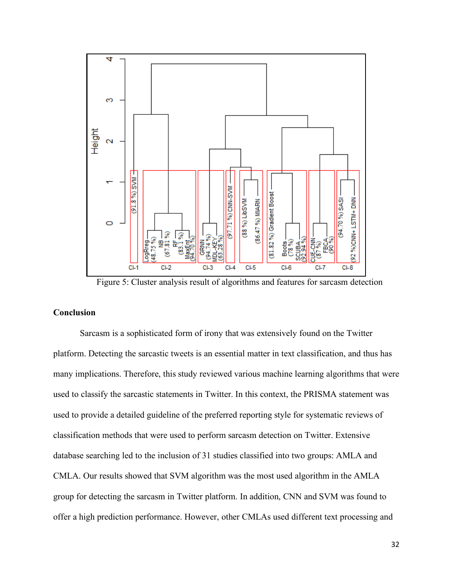

Figure 5: Cluster analysis result of algorithms and features for sarcasm detection

#### **Conclusion**

 Sarcasm is a sophisticated form of irony that was extensively found on the Twitter platform. Detecting the sarcastic tweets is an essential matter in text classification, and thus has many implications. Therefore, this study reviewed various machine learning algorithms that were used to classify the sarcastic statements in Twitter. In this context, the PRISMA statement was used to provide a detailed guideline of the preferred reporting style for systematic reviews of classification methods that were used to perform sarcasm detection on Twitter. Extensive database searching led to the inclusion of 31 studies classified into two groups: AMLA and CMLA. Our results showed that SVM algorithm was the most used algorithm in the AMLA group for detecting the sarcasm in Twitter platform. In addition, CNN and SVM was found to offer a high prediction performance. However, other CMLAs used different text processing and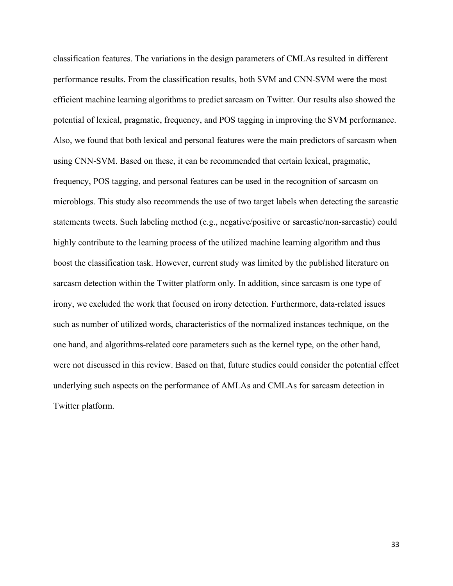classification features. The variations in the design parameters of CMLAs resulted in different performance results. From the classification results, both SVM and CNN-SVM were the most efficient machine learning algorithms to predict sarcasm on Twitter. Our results also showed the potential of lexical, pragmatic, frequency, and POS tagging in improving the SVM performance. Also, we found that both lexical and personal features were the main predictors of sarcasm when using CNN-SVM. Based on these, it can be recommended that certain lexical, pragmatic, frequency, POS tagging, and personal features can be used in the recognition of sarcasm on microblogs. This study also recommends the use of two target labels when detecting the sarcastic statements tweets. Such labeling method (e.g., negative/positive or sarcastic/non-sarcastic) could highly contribute to the learning process of the utilized machine learning algorithm and thus boost the classification task. However, current study was limited by the published literature on sarcasm detection within the Twitter platform only. In addition, since sarcasm is one type of irony, we excluded the work that focused on irony detection. Furthermore, data-related issues such as number of utilized words, characteristics of the normalized instances technique, on the one hand, and algorithms-related core parameters such as the kernel type, on the other hand, were not discussed in this review. Based on that, future studies could consider the potential effect underlying such aspects on the performance of AMLAs and CMLAs for sarcasm detection in Twitter platform.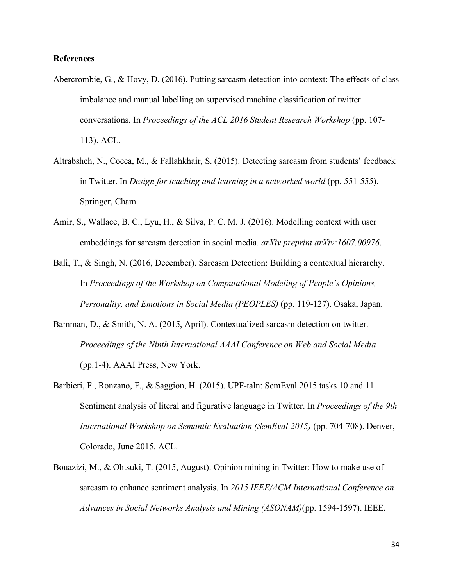## **References**

- Abercrombie, G., & Hovy, D. (2016). Putting sarcasm detection into context: The effects of class imbalance and manual labelling on supervised machine classification of twitter conversations. In *Proceedings of the ACL 2016 Student Research Workshop* (pp. 107-113). ACL.
- Altrabsheh, N., Cocea, M., & Fallahkhair, S. (2015). Detecting sarcasm from students' feedback in Twitter. In *Design for teaching and learning in a networked world* (pp. 551-555). Springer, Cham.
- Amir, S., Wallace, B. C., Lyu, H., & Silva, P. C. M. J. (2016). Modelling context with user embeddings for sarcasm detection in social media. *arXiv preprint arXiv:1607.00976*.
- Bali, T., & Singh, N. (2016, December). Sarcasm Detection: Building a contextual hierarchy.  In *Proceedings of the Workshop on Computational Modeling of People's Opinions, Personality, and Emotions in Social Media (PEOPLES)* (pp. 119-127). Osaka, Japan.
- Bamman, D., & Smith, N. A. (2015, April). Contextualized sarcasm detection on twitter.  *Proceedings of the Ninth International AAAI Conference on Web and Social Media*  (pp.1-4). AAAI Press, New York.
- Barbieri, F., Ronzano, F., & Saggion, H. (2015). UPF-taln: SemEval 2015 tasks 10 and 11. Sentiment analysis of literal and figurative language in Twitter. In *Proceedings of the 9th International Workshop on Semantic Evaluation (SemEval 2015)* (pp. 704-708). Denver, Colorado, June 2015. ACL.
- Bouazizi, M., & Ohtsuki, T. (2015, August). Opinion mining in Twitter: How to make use of sarcasm to enhance sentiment analysis. In *2015 IEEE/ACM International Conference on Advances in Social Networks Analysis and Mining (ASONAM)*(pp. 1594-1597). IEEE.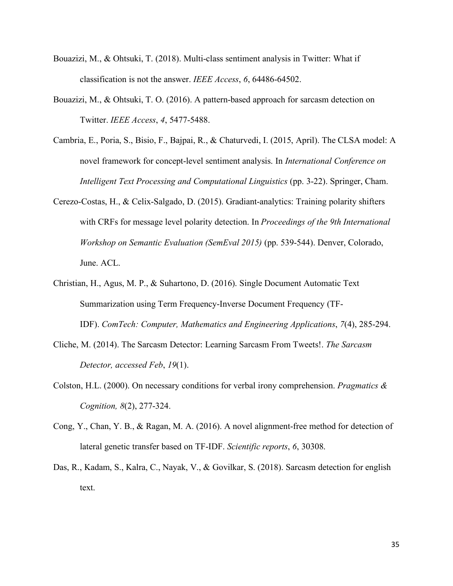- Bouazizi, M., & Ohtsuki, T. (2018). Multi-class sentiment analysis in Twitter: What if classification is not the answer. *IEEE Access*, *6*, 64486-64502.
- Bouazizi, M., & Ohtsuki, T. O. (2016). A pattern-based approach for sarcasm detection on Twitter. *IEEE Access*, *4*, 5477-5488.
- Cambria, E., Poria, S., Bisio, F., Bajpai, R., & Chaturvedi, I. (2015, April). The CLSA model: A novel framework for concept-level sentiment analysis. In *International Conference on Intelligent Text Processing and Computational Linguistics* (pp. 3-22). Springer, Cham.
- Cerezo-Costas, H., & Celix-Salgado, D. (2015). Gradiant-analytics: Training polarity shifters with CRFs for message level polarity detection. In *Proceedings of the 9th International Workshop on Semantic Evaluation (SemEval 2015)* (pp. 539-544). Denver, Colorado, June. ACL.
- Christian, H., Agus, M. P., & Suhartono, D. (2016). Single Document Automatic Text Summarization using Term Frequency-Inverse Document Frequency (TF- IDF). *ComTech: Computer, Mathematics and Engineering Applications*, *7*(4), 285-294.
- Cliche, M. (2014). The Sarcasm Detector: Learning Sarcasm From Tweets!. *The Sarcasm Detector, accessed Feb*, *19*(1).
- Colston, H.L. (2000). On necessary conditions for verbal irony comprehension. *Pragmatics & Cognition, 8*(2), 277-324.
- Cong, Y., Chan, Y. B., & Ragan, M. A. (2016). A novel alignment-free method for detection of lateral genetic transfer based on TF-IDF. *Scientific reports*, *6*, 30308.
- Das, R., Kadam, S., Kalra, C., Nayak, V., & Govilkar, S. (2018). Sarcasm detection for english text.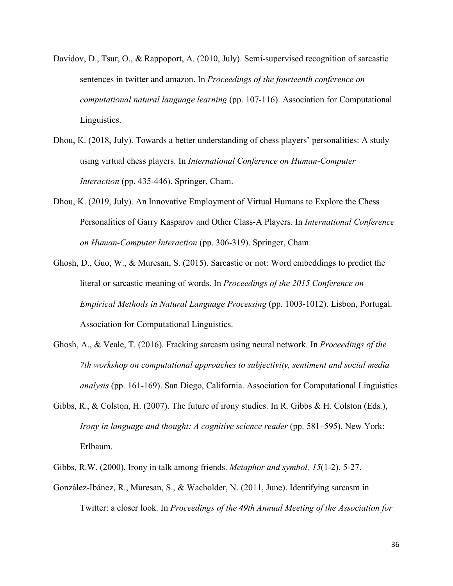- Davidov, D., Tsur, O., & Rappoport, A. (2010, July). Semi-supervised recognition of sarcastic sentences in twitter and amazon. In *Proceedings of the fourteenth conference on computational natural language learning* (pp. 107-116). Association for Computational Linguistics.
- Dhou, K. (2018, July). Towards a better understanding of chess players' personalities: A study using virtual chess players. In *International Conference on Human-Computer Interaction* (pp. 435-446). Springer, Cham.
- Dhou, K. (2019, July). An Innovative Employment of Virtual Humans to Explore the Chess Personalities of Garry Kasparov and Other Class-A Players. In *International Conference on Human-Computer Interaction* (pp. 306-319). Springer, Cham.
- Ghosh, D., Guo, W., & Muresan, S. (2015). Sarcastic or not: Word embeddings to predict the literal or sarcastic meaning of words. In *Proceedings of the 2015 Conference on Empirical Methods in Natural Language Processing* (pp. 1003-1012). Lisbon, Portugal. Association for Computational Linguistics.
- Ghosh, A., & Veale, T. (2016). Fracking sarcasm using neural network. In *Proceedings of the 7th workshop on computational approaches to subjectivity, sentiment and social media analysis* (pp. 161-169). San Diego, California. Association for Computational Linguistics
- Gibbs, R., & Colston, H. (2007). The future of irony studies. In R. Gibbs & H. Colston (Eds.), Irony in language and thought: A cognitive science reader (pp. 581–595). New York: Erlbaum.
- Gibbs, R.W. (2000). Irony in talk among friends. *Metaphor and symbol, 15*(1-2), 5-27.
- González-Ibánez, R., Muresan, S., & Wacholder, N. (2011, June). Identifying sarcasm in Twitter: a closer look. In *Proceedings of the 49th Annual Meeting of the Association for*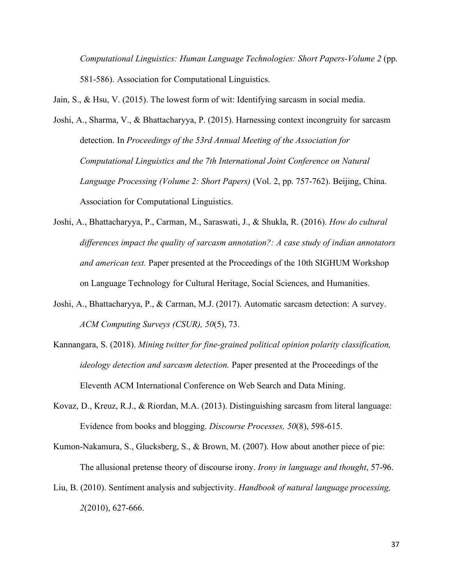*Computational Linguistics: Human Language Technologies: Short Papers-Volume 2* (pp. 581-586). Association for Computational Linguistics.

Jain, S., & Hsu, V. (2015). The lowest form of wit: Identifying sarcasm in social media.

- Joshi, A., Sharma, V., & Bhattacharyya, P. (2015). Harnessing context incongruity for sarcasm detection. In *Proceedings of the 53rd Annual Meeting of the Association for Computational Linguistics and the 7th International Joint Conference on Natural Language Processing (Volume 2: Short Papers)* (Vol. 2, pp. 757-762). Beijing, China. Association for Computational Linguistics.
- Joshi, A., Bhattacharyya, P., Carman, M., Saraswati, J., & Shukla, R. (2016). *How do cultural differences impact the quality of sarcasm annotation?: A case study of indian annotators and american text.* Paper presented at the Proceedings of the 10th SIGHUM Workshop on Language Technology for Cultural Heritage, Social Sciences, and Humanities.
- Joshi, A., Bhattacharyya, P., & Carman, M.J. (2017). Automatic sarcasm detection: A survey.  *ACM Computing Surveys (CSUR), 50*(5), 73.
- Kannangara, S. (2018). *Mining twitter for fine-grained political opinion polarity classification, ideology detection and sarcasm detection.* Paper presented at the Proceedings of the Eleventh ACM International Conference on Web Search and Data Mining.
- Kovaz, D., Kreuz, R.J., & Riordan, M.A. (2013). Distinguishing sarcasm from literal language: Evidence from books and blogging. *Discourse Processes, 50*(8), 598-615.
- Kumon-Nakamura, S., Glucksberg, S., & Brown, M. (2007). How about another piece of pie: The allusional pretense theory of discourse irony. *Irony in language and thought*, 57-96.
- Liu, B. (2010). Sentiment analysis and subjectivity. *Handbook of natural language processing, 2*(2010), 627-666.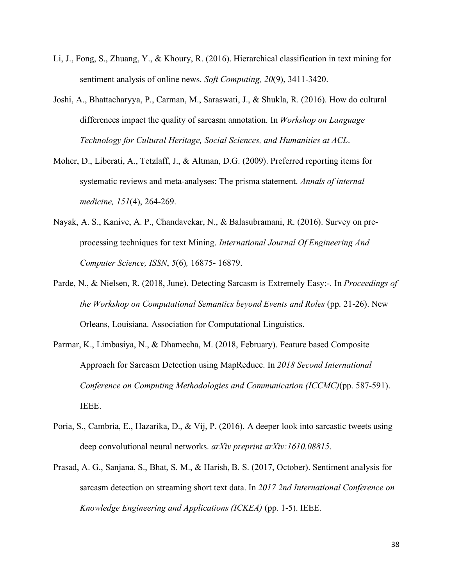- Li, J., Fong, S., Zhuang, Y., & Khoury, R. (2016). Hierarchical classification in text mining for sentiment analysis of online news. *Soft Computing, 20*(9), 3411-3420.
- Joshi, A., Bhattacharyya, P., Carman, M., Saraswati, J., & Shukla, R. (2016). How do cultural differences impact the quality of sarcasm annotation. In *Workshop on Language Technology for Cultural Heritage, Social Sciences, and Humanities at ACL*.
- Moher, D., Liberati, A., Tetzlaff, J., & Altman, D.G. (2009). Preferred reporting items for systematic reviews and meta-analyses: The prisma statement. *Annals of internal medicine, 151*(4), 264-269.
- Nayak, A. S., Kanive, A. P., Chandavekar, N., & Balasubramani, R. (2016). Survey on pre- processing techniques for text Mining. *International Journal Of Engineering And Computer Science, ISSN*, *5*(6)*,* 16875- 16879.
- Parde, N., & Nielsen, R. (2018, June). Detecting Sarcasm is Extremely Easy;-. In *Proceedings of the Workshop on Computational Semantics beyond Events and Roles* (pp. 21-26). New Orleans, Louisiana. Association for Computational Linguistics.
- Parmar, K., Limbasiya, N., & Dhamecha, M. (2018, February). Feature based Composite Approach for Sarcasm Detection using MapReduce. In *2018 Second International Conference on Computing Methodologies and Communication (ICCMC)*(pp. 587-591). IEEE.
- Poria, S., Cambria, E., Hazarika, D., & Vij, P. (2016). A deeper look into sarcastic tweets using deep convolutional neural networks. *arXiv preprint arXiv:1610.08815*.
- Prasad, A. G., Sanjana, S., Bhat, S. M., & Harish, B. S. (2017, October). Sentiment analysis for sarcasm detection on streaming short text data. In *2017 2nd International Conference on Knowledge Engineering and Applications (ICKEA)* (pp. 1-5). IEEE.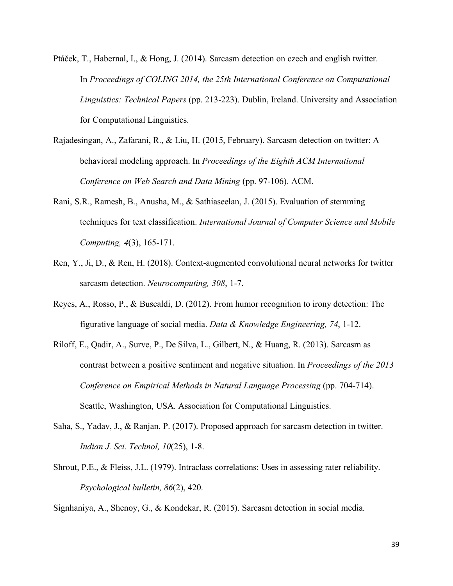- Ptáček, T., Habernal, I., & Hong, J. (2014). Sarcasm detection on czech and english twitter. In *Proceedings of COLING 2014, the 25th International Conference on Computational Linguistics: Technical Papers* (pp. 213-223). Dublin, Ireland. University and Association for Computational Linguistics.
- Rajadesingan, A., Zafarani, R., & Liu, H. (2015, February). Sarcasm detection on twitter: A behavioral modeling approach. In *Proceedings of the Eighth ACM International Conference on Web Search and Data Mining* (pp. 97-106). ACM.
- Rani, S.R., Ramesh, B., Anusha, M., & Sathiaseelan, J. (2015). Evaluation of stemming techniques for text classification. *International Journal of Computer Science and Mobile Computing, 4*(3), 165-171.
- Ren, Y., Ji, D., & Ren, H. (2018). Context-augmented convolutional neural networks for twitter sarcasm detection. *Neurocomputing, 308*, 1-7.
- Reyes, A., Rosso, P., & Buscaldi, D. (2012). From humor recognition to irony detection: The figurative language of social media. *Data & Knowledge Engineering, 74*, 1-12.
- Riloff, E., Qadir, A., Surve, P., De Silva, L., Gilbert, N., & Huang, R. (2013). Sarcasm as contrast between a positive sentiment and negative situation. In *Proceedings of the 2013*  Conference on Empirical Methods in Natural Language Processing (pp. 704-714). Seattle, Washington, USA. Association for Computational Linguistics.
- Saha, S., Yadav, J., & Ranjan, P. (2017). Proposed approach for sarcasm detection in twitter.  *Indian J. Sci. Technol, 10*(25), 1-8.
- Shrout, P.E., & Fleiss, J.L. (1979). Intraclass correlations: Uses in assessing rater reliability.  *Psychological bulletin, 86*(2), 420.

Signhaniya, A., Shenoy, G., & Kondekar, R. (2015). Sarcasm detection in social media.